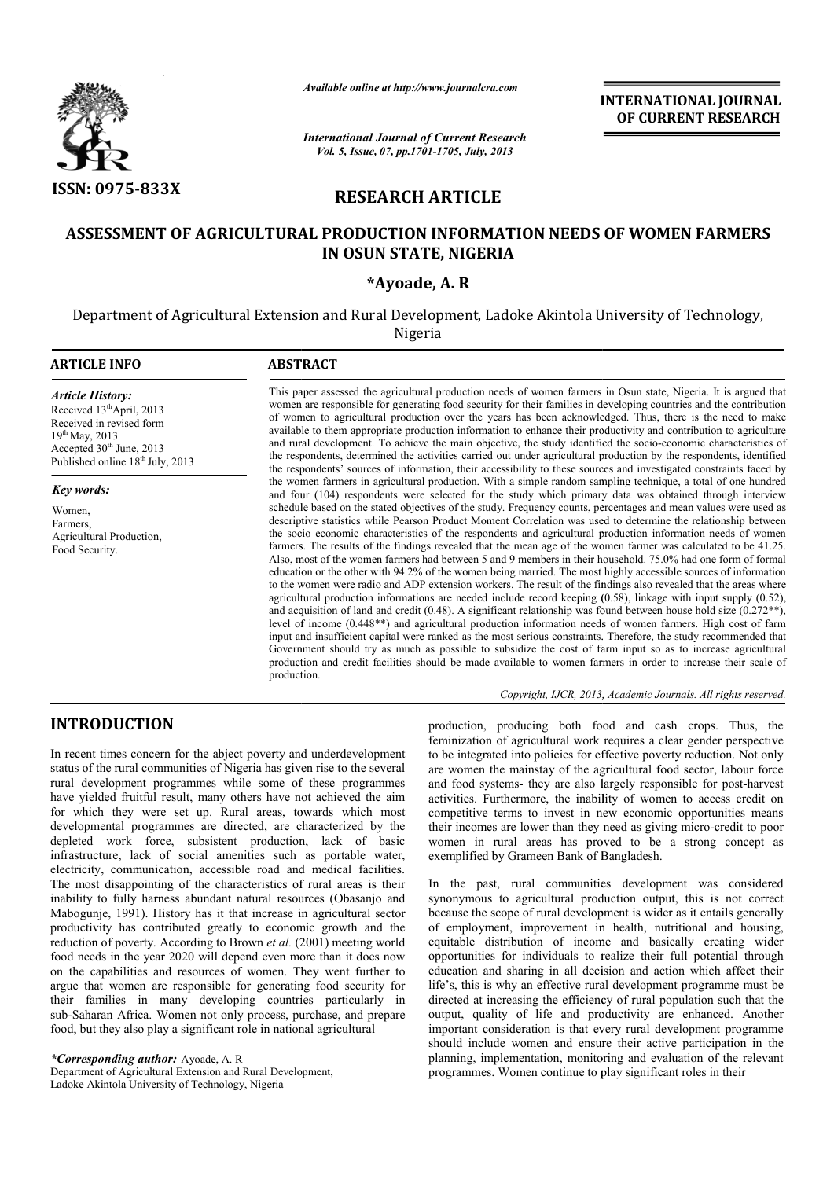

*Available online at http://www.journalcra.com*

# RESEARCH ARTICLE

# ASSESSMENT OF AGRICULTURAL PRODUCTION INFORMATION NEEDS OF WOMEN FARMERS IN OSUN STATE, NIGERIA

## \*Ayoade, A. R

|                                                                                                                                                                                                                                                                                                                                                                                                                                                                                                                                                                                                                                                                                                                                                                                                                                                                                                                                                                          |                                                                                                                                                                                                                                                                                                                                                                                                                                                                                                                                                                                                                                                                                                                                                                                                                                                                                                                                                                                                                                                                                                                                                                                                                                                                                                                                                                                                                                                                                                                                                                                                                                                                                                                                                                                                                                                                                                                           |                                            | <b>INTERNATIONAL JOURNAL</b><br>OF CURRENT RESEARCH                                                                                                                                                                                                                                                                                                                                                                                                                                                                                                                                                                                                                                                                                                                                                                                                                                                                                                                                                 |  |
|--------------------------------------------------------------------------------------------------------------------------------------------------------------------------------------------------------------------------------------------------------------------------------------------------------------------------------------------------------------------------------------------------------------------------------------------------------------------------------------------------------------------------------------------------------------------------------------------------------------------------------------------------------------------------------------------------------------------------------------------------------------------------------------------------------------------------------------------------------------------------------------------------------------------------------------------------------------------------|---------------------------------------------------------------------------------------------------------------------------------------------------------------------------------------------------------------------------------------------------------------------------------------------------------------------------------------------------------------------------------------------------------------------------------------------------------------------------------------------------------------------------------------------------------------------------------------------------------------------------------------------------------------------------------------------------------------------------------------------------------------------------------------------------------------------------------------------------------------------------------------------------------------------------------------------------------------------------------------------------------------------------------------------------------------------------------------------------------------------------------------------------------------------------------------------------------------------------------------------------------------------------------------------------------------------------------------------------------------------------------------------------------------------------------------------------------------------------------------------------------------------------------------------------------------------------------------------------------------------------------------------------------------------------------------------------------------------------------------------------------------------------------------------------------------------------------------------------------------------------------------------------------------------------|--------------------------------------------|-----------------------------------------------------------------------------------------------------------------------------------------------------------------------------------------------------------------------------------------------------------------------------------------------------------------------------------------------------------------------------------------------------------------------------------------------------------------------------------------------------------------------------------------------------------------------------------------------------------------------------------------------------------------------------------------------------------------------------------------------------------------------------------------------------------------------------------------------------------------------------------------------------------------------------------------------------------------------------------------------------|--|
|                                                                                                                                                                                                                                                                                                                                                                                                                                                                                                                                                                                                                                                                                                                                                                                                                                                                                                                                                                          | <b>International Journal of Current Research</b><br>Vol. 5, Issue, 07, pp.1701-1705, July, 2013                                                                                                                                                                                                                                                                                                                                                                                                                                                                                                                                                                                                                                                                                                                                                                                                                                                                                                                                                                                                                                                                                                                                                                                                                                                                                                                                                                                                                                                                                                                                                                                                                                                                                                                                                                                                                           |                                            |                                                                                                                                                                                                                                                                                                                                                                                                                                                                                                                                                                                                                                                                                                                                                                                                                                                                                                                                                                                                     |  |
| <b>ISSN: 0975-833X</b><br><b>RESEARCH ARTICLE</b>                                                                                                                                                                                                                                                                                                                                                                                                                                                                                                                                                                                                                                                                                                                                                                                                                                                                                                                        |                                                                                                                                                                                                                                                                                                                                                                                                                                                                                                                                                                                                                                                                                                                                                                                                                                                                                                                                                                                                                                                                                                                                                                                                                                                                                                                                                                                                                                                                                                                                                                                                                                                                                                                                                                                                                                                                                                                           |                                            |                                                                                                                                                                                                                                                                                                                                                                                                                                                                                                                                                                                                                                                                                                                                                                                                                                                                                                                                                                                                     |  |
|                                                                                                                                                                                                                                                                                                                                                                                                                                                                                                                                                                                                                                                                                                                                                                                                                                                                                                                                                                          |                                                                                                                                                                                                                                                                                                                                                                                                                                                                                                                                                                                                                                                                                                                                                                                                                                                                                                                                                                                                                                                                                                                                                                                                                                                                                                                                                                                                                                                                                                                                                                                                                                                                                                                                                                                                                                                                                                                           | IN OSUN STATE, NIGERIA                     | ASSESSMENT OF AGRICULTURAL PRODUCTION INFORMATION NEEDS OF WOMEN FARMERS                                                                                                                                                                                                                                                                                                                                                                                                                                                                                                                                                                                                                                                                                                                                                                                                                                                                                                                            |  |
|                                                                                                                                                                                                                                                                                                                                                                                                                                                                                                                                                                                                                                                                                                                                                                                                                                                                                                                                                                          |                                                                                                                                                                                                                                                                                                                                                                                                                                                                                                                                                                                                                                                                                                                                                                                                                                                                                                                                                                                                                                                                                                                                                                                                                                                                                                                                                                                                                                                                                                                                                                                                                                                                                                                                                                                                                                                                                                                           | *Ayoade, A.R                               |                                                                                                                                                                                                                                                                                                                                                                                                                                                                                                                                                                                                                                                                                                                                                                                                                                                                                                                                                                                                     |  |
|                                                                                                                                                                                                                                                                                                                                                                                                                                                                                                                                                                                                                                                                                                                                                                                                                                                                                                                                                                          |                                                                                                                                                                                                                                                                                                                                                                                                                                                                                                                                                                                                                                                                                                                                                                                                                                                                                                                                                                                                                                                                                                                                                                                                                                                                                                                                                                                                                                                                                                                                                                                                                                                                                                                                                                                                                                                                                                                           | Nigeria                                    | Department of Agricultural Extension and Rural Development, Ladoke Akintola University of Technology,                                                                                                                                                                                                                                                                                                                                                                                                                                                                                                                                                                                                                                                                                                                                                                                                                                                                                               |  |
| <b>ARTICLE INFO</b>                                                                                                                                                                                                                                                                                                                                                                                                                                                                                                                                                                                                                                                                                                                                                                                                                                                                                                                                                      | <b>ABSTRACT</b>                                                                                                                                                                                                                                                                                                                                                                                                                                                                                                                                                                                                                                                                                                                                                                                                                                                                                                                                                                                                                                                                                                                                                                                                                                                                                                                                                                                                                                                                                                                                                                                                                                                                                                                                                                                                                                                                                                           |                                            |                                                                                                                                                                                                                                                                                                                                                                                                                                                                                                                                                                                                                                                                                                                                                                                                                                                                                                                                                                                                     |  |
| <b>Article History:</b><br>Received 13 <sup>th</sup> April, 2013<br>Received in revised form<br>19th May, 2013<br>Accepted 30 <sup>th</sup> June, 2013<br>Published online 18 <sup>th</sup> July, 2013                                                                                                                                                                                                                                                                                                                                                                                                                                                                                                                                                                                                                                                                                                                                                                   |                                                                                                                                                                                                                                                                                                                                                                                                                                                                                                                                                                                                                                                                                                                                                                                                                                                                                                                                                                                                                                                                                                                                                                                                                                                                                                                                                                                                                                                                                                                                                                                                                                                                                                                                                                                                                                                                                                                           |                                            | This paper assessed the agricultural production needs of women farmers in Osun state, Nigeria. It is argued that<br>women are responsible for generating food security for their families in developing countries and the contribution<br>of women to agricultural production over the years has been acknowledged. Thus, there is the need to make<br>available to them appropriate production information to enhance their productivity and contribution to agriculture<br>and rural development. To achieve the main objective, the study identified the socio-economic characteristics of<br>the respondents, determined the activities carried out under agricultural production by the respondents, identified                                                                                                                                                                                                                                                                                |  |
| Key words:<br>Women,<br>Farmers.<br>Agricultural Production,<br>Food Security.                                                                                                                                                                                                                                                                                                                                                                                                                                                                                                                                                                                                                                                                                                                                                                                                                                                                                           | the respondents' sources of information, their accessibility to these sources and investigated constraints faced by<br>the women farmers in agricultural production. With a simple random sampling technique, a total of one hundred<br>and four (104) respondents were selected for the study which primary data was obtained through interview<br>schedule based on the stated objectives of the study. Frequency counts, percentages and mean values were used as<br>descriptive statistics while Pearson Product Moment Correlation was used to determine the relationship between<br>the socio economic characteristics of the respondents and agricultural production information needs of women<br>farmers. The results of the findings revealed that the mean age of the women farmer was calculated to be 41.25.<br>Also, most of the women farmers had between 5 and 9 members in their household. 75.0% had one form of formal<br>education or the other with 94.2% of the women being married. The most highly accessible sources of information<br>to the women were radio and ADP extension workers. The result of the findings also revealed that the areas where<br>agricultural production informations are needed include record keeping $(0.58)$ , linkage with input supply $(0.52)$ ,<br>and acquisition of land and credit (0.48). A significant relationship was found between house hold size (0.272 $**$ ),<br>level of income (0.448**) and agricultural production information needs of women farmers. High cost of farm<br>input and insufficient capital were ranked as the most serious constraints. Therefore, the study recommended that<br>Government should try as much as possible to subsidize the cost of farm input so as to increase agricultural<br>production and credit facilities should be made available to women farmers in order to increase their scale of<br>production. |                                            |                                                                                                                                                                                                                                                                                                                                                                                                                                                                                                                                                                                                                                                                                                                                                                                                                                                                                                                                                                                                     |  |
|                                                                                                                                                                                                                                                                                                                                                                                                                                                                                                                                                                                                                                                                                                                                                                                                                                                                                                                                                                          |                                                                                                                                                                                                                                                                                                                                                                                                                                                                                                                                                                                                                                                                                                                                                                                                                                                                                                                                                                                                                                                                                                                                                                                                                                                                                                                                                                                                                                                                                                                                                                                                                                                                                                                                                                                                                                                                                                                           |                                            | Copyright, IJCR, 2013, Academic Journals. All rights reserved.                                                                                                                                                                                                                                                                                                                                                                                                                                                                                                                                                                                                                                                                                                                                                                                                                                                                                                                                      |  |
| <b>INTRODUCTION</b><br>In recent times concern for the abject poverty and underdevelopment<br>status of the rural communities of Nigeria has given rise to the several<br>rural development programmes while some of these programmes<br>have yielded fruitful result, many others have not achieved the aim<br>for which they were set up. Rural areas, towards which most<br>developmental programmes are directed, are characterized by the<br>depleted work force, subsistent production, lack of basic<br>infrastructure, lack of social amenities such as portable water,                                                                                                                                                                                                                                                                                                                                                                                          |                                                                                                                                                                                                                                                                                                                                                                                                                                                                                                                                                                                                                                                                                                                                                                                                                                                                                                                                                                                                                                                                                                                                                                                                                                                                                                                                                                                                                                                                                                                                                                                                                                                                                                                                                                                                                                                                                                                           | exemplified by Grameen Bank of Bangladesh. | production, producing both food and cash crops. Thus, the<br>feminization of agricultural work requires a clear gender perspective<br>to be integrated into policies for effective poverty reduction. Not only<br>are women the mainstay of the agricultural food sector, labour force<br>and food systems- they are also largely responsible for post-harvest<br>activities. Furthermore, the inability of women to access credit on<br>competitive terms to invest in new economic opportunities means<br>their incomes are lower than they need as giving micro-credit to poor<br>women in rural areas has proved to be a strong concept as                                                                                                                                                                                                                                                                                                                                                      |  |
| electricity, communication, accessible road and medical facilities.<br>The most disappointing of the characteristics of rural areas is their<br>inability to fully harness abundant natural resources (Obasanjo and<br>Mabogunje, 1991). History has it that increase in agricultural sector<br>productivity has contributed greatly to economic growth and the<br>reduction of poverty. According to Brown et al. (2001) meeting world<br>food needs in the year 2020 will depend even more than it does now<br>on the capabilities and resources of women. They went further to<br>argue that women are responsible for generating food security for<br>their families in many developing countries particularly in<br>sub-Saharan Africa. Women not only process, purchase, and prepare<br>food, but they also play a significant role in national agricultural<br>*Corresponding author: Ayoade, A. R<br>Department of Agricultural Extension and Rural Development, |                                                                                                                                                                                                                                                                                                                                                                                                                                                                                                                                                                                                                                                                                                                                                                                                                                                                                                                                                                                                                                                                                                                                                                                                                                                                                                                                                                                                                                                                                                                                                                                                                                                                                                                                                                                                                                                                                                                           |                                            | In the past, rural communities development was considered<br>synonymous to agricultural production output, this is not correct<br>because the scope of rural development is wider as it entails generally<br>of employment, improvement in health, nutritional and housing,<br>equitable distribution of income and basically creating wider<br>opportunities for individuals to realize their full potential through<br>education and sharing in all decision and action which affect their<br>life's, this is why an effective rural development programme must be<br>directed at increasing the efficiency of rural population such that the<br>output, quality of life and productivity are enhanced. Another<br>important consideration is that every rural development programme<br>should include women and ensure their active participation in the<br>planning, implementation, monitoring and evaluation of the relevant<br>programmes. Women continue to play significant roles in their |  |

## Copyright, IJCR, 2013, Academic Journals. All rights reserved.

# INTRODUCTION

*\*Corresponding author:* Ayoade, A. R Department of Agricultural Extension and Rural Development, Ladoke Akintola University of Technology, Nigeria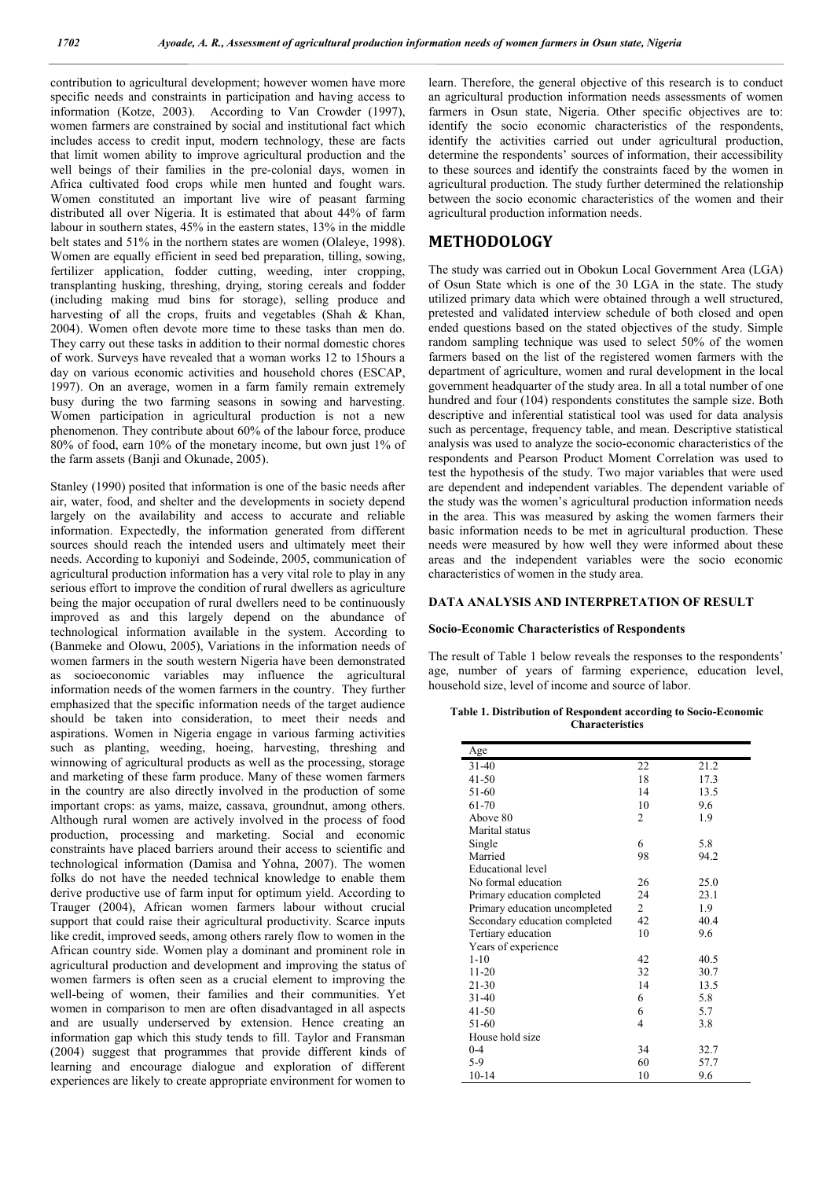contribution to agricultural development; however women have more specific needs and constraints in participation and having access to information (Kotze, 2003). According to Van Crowder (1997), women farmers are constrained by social and institutional fact which includes access to credit input, modern technology, these are facts that limit women ability to improve agricultural production and the well beings of their families in the pre-colonial days, women in Africa cultivated food crops while men hunted and fought wars. Women constituted an important live wire of peasant farming distributed all over Nigeria. It is estimated that about 44% of farm labour in southern states, 45% in the eastern states, 13% in the middle belt states and 51% in the northern states are women (Olaleye, 1998). Women are equally efficient in seed bed preparation, tilling, sowing, fertilizer application, fodder cutting, weeding, inter cropping, transplanting husking, threshing, drying, storing cereals and fodder (including making mud bins for storage), selling produce and harvesting of all the crops, fruits and vegetables (Shah & Khan, 2004). Women often devote more time to these tasks than men do. They carry out these tasks in addition to their normal domestic chores of work. Surveys have revealed that a woman works 12 to 15hours a day on various economic activities and household chores (ESCAP, 1997). On an average, women in a farm family remain extremely busy during the two farming seasons in sowing and harvesting. Women participation in agricultural production is not a new phenomenon. They contribute about 60% of the labour force, produce 80% of food, earn 10% of the monetary income, but own just 1% of the farm assets (Banji and Okunade, 2005).

Stanley (1990) posited that information is one of the basic needs after air, water, food, and shelter and the developments in society depend largely on the availability and access to accurate and reliable information. Expectedly, the information generated from different sources should reach the intended users and ultimately meet their needs. According to kuponiyi and Sodeinde, 2005, communication of agricultural production information has a very vital role to play in any serious effort to improve the condition of rural dwellers as agriculture being the major occupation of rural dwellers need to be continuously improved as and this largely depend on the abundance of technological information available in the system. According to (Banmeke and Olowu, 2005), Variations in the information needs of women farmers in the south western Nigeria have been demonstrated as socioeconomic variables may influence the agricultural information needs of the women farmers in the country. They further emphasized that the specific information needs of the target audience should be taken into consideration, to meet their needs and aspirations. Women in Nigeria engage in various farming activities such as planting, weeding, hoeing, harvesting, threshing and winnowing of agricultural products as well as the processing, storage and marketing of these farm produce. Many of these women farmers in the country are also directly involved in the production of some important crops: as yams, maize, cassava, groundnut, among others. Although rural women are actively involved in the process of food production, processing and marketing. Social and economic constraints have placed barriers around their access to scientific and technological information (Damisa and Yohna, 2007). The women folks do not have the needed technical knowledge to enable them derive productive use of farm input for optimum yield. According to Trauger (2004), African women farmers labour without crucial support that could raise their agricultural productivity. Scarce inputs like credit, improved seeds, among others rarely flow to women in the African country side. Women play a dominant and prominent role in agricultural production and development and improving the status of women farmers is often seen as a crucial element to improving the well-being of women, their families and their communities. Yet women in comparison to men are often disadvantaged in all aspects and are usually underserved by extension. Hence creating an information gap which this study tends to fill. Taylor and Fransman (2004) suggest that programmes that provide different kinds of learning and encourage dialogue and exploration of different experiences are likely to create appropriate environment for women to

learn. Therefore, the general objective of this research is to conduct an agricultural production information needs assessments of women farmers in Osun state, Nigeria. Other specific objectives are to: identify the socio economic characteristics of the respondents, identify the activities carried out under agricultural production, determine the respondents' sources of information, their accessibility to these sources and identify the constraints faced by the women in agricultural production. The study further determined the relationship between the socio economic characteristics of the women and their agricultural production information needs.

## METHODOLOGY

The study was carried out in Obokun Local Government Area (LGA) of Osun State which is one of the 30 LGA in the state. The study utilized primary data which were obtained through a well structured, pretested and validated interview schedule of both closed and open ended questions based on the stated objectives of the study. Simple random sampling technique was used to select 50% of the women farmers based on the list of the registered women farmers with the department of agriculture, women and rural development in the local government headquarter of the study area. In all a total number of one hundred and four (104) respondents constitutes the sample size. Both descriptive and inferential statistical tool was used for data analysis such as percentage, frequency table, and mean. Descriptive statistical analysis was used to analyze the socio-economic characteristics of the respondents and Pearson Product Moment Correlation was used to test the hypothesis of the study. Two major variables that were used are dependent and independent variables. The dependent variable of the study was the women's agricultural production information needs in the area. This was measured by asking the women farmers their basic information needs to be met in agricultural production. These needs were measured by how well they were informed about these areas and the independent variables were the socio economic characteristics of women in the study area.

## DATA ANALYSIS AND INTERPRETATION OF RESULT

#### Socio-Economic Characteristics of Respondents

The result of Table 1 below reveals the responses to the respondents' age, number of years of farming experience, education level, household size, level of income and source of labor.

### Table 1. Distribution of Respondent according to Socio-Economic **Characteristics**

| Age                           |                |      |
|-------------------------------|----------------|------|
| $31 - 40$                     | 22             | 21.2 |
| $41 - 50$                     | 18             | 17.3 |
| 51-60                         | 14             | 13.5 |
| 61-70                         | 10             | 9.6  |
| Above 80                      | $\overline{c}$ | 1.9  |
| Marital status                |                |      |
| Single                        | 6              | 5.8  |
| Married                       | 98             | 94.2 |
| Educational level             |                |      |
| No formal education           | 26             | 25.0 |
| Primary education completed   | 24             | 23.1 |
| Primary education uncompleted | 2              | 1.9  |
| Secondary education completed | 42             | 40.4 |
| Tertiary education            | 10             | 9.6  |
| Years of experience           |                |      |
| $1 - 10$                      | 42             | 40.5 |
| $11 - 20$                     | 32             | 30.7 |
| 21-30                         | 14             | 13.5 |
| $31 - 40$                     | 6              | 5.8  |
| $41 - 50$                     | 6              | 5.7  |
| 51-60                         | 4              | 3.8  |
| House hold size               |                |      |
| $0 - 4$                       | 34             | 32.7 |
| 5-9                           | 60             | 57.7 |
| $10 - 14$                     | 10             | 9.6  |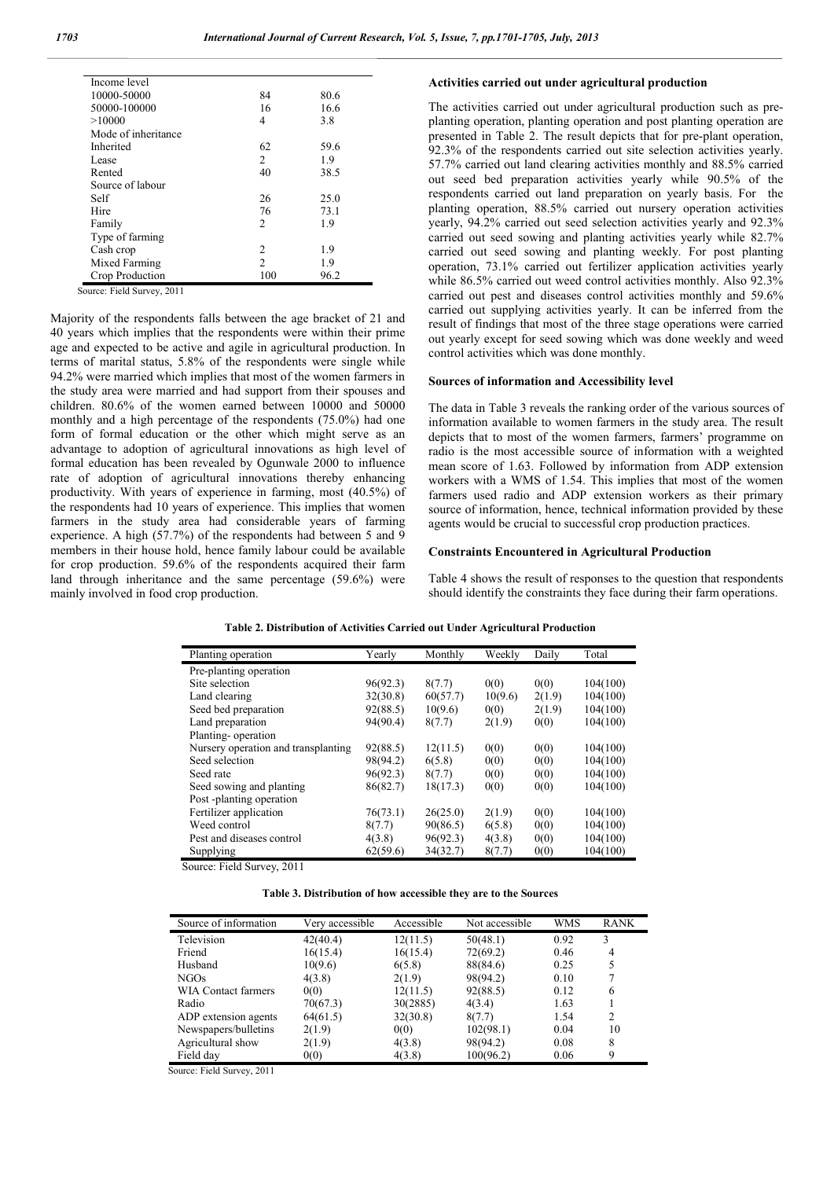| Income level        |                |      |
|---------------------|----------------|------|
| 10000-50000         | 84             | 80.6 |
| 50000-100000        | 16             | 16.6 |
| >10000              | 4              | 3.8  |
| Mode of inheritance |                |      |
| Inherited           | 62             | 59.6 |
| Lease               | 2              | 1.9  |
| Rented              | 40             | 38.5 |
| Source of labour    |                |      |
| Self                | 26             | 25.0 |
| Hire                | 76             | 73.1 |
| Family              | 2              | 1.9  |
| Type of farming     |                |      |
| Cash crop           | 2              | 1.9  |
| Mixed Farming       | $\overline{c}$ | 1.9  |
| Crop Production     | 100            | 96.2 |

Source: Field Survey, 2011

Majority of the respondents falls between the age bracket of 21 and 40 years which implies that the respondents were within their prime age and expected to be active and agile in agricultural production. In terms of marital status, 5.8% of the respondents were single while 94.2% were married which implies that most of the women farmers in the study area were married and had support from their spouses and children. 80.6% of the women earned between 10000 and 50000 monthly and a high percentage of the respondents (75.0%) had one form of formal education or the other which might serve as an advantage to adoption of agricultural innovations as high level of formal education has been revealed by Ogunwale 2000 to influence rate of adoption of agricultural innovations thereby enhancing productivity. With years of experience in farming, most (40.5%) of the respondents had 10 years of experience. This implies that women farmers in the study area had considerable years of farming experience. A high (57.7%) of the respondents had between 5 and 9 members in their house hold, hence family labour could be available for crop production. 59.6% of the respondents acquired their farm land through inheritance and the same percentage (59.6%) were mainly involved in food crop production.

## Activities carried out under agricultural production

The activities carried out under agricultural production such as preplanting operation, planting operation and post planting operation are presented in Table 2. The result depicts that for pre-plant operation, 92.3% of the respondents carried out site selection activities yearly. 57.7% carried out land clearing activities monthly and 88.5% carried out seed bed preparation activities yearly while 90.5% of the respondents carried out land preparation on yearly basis. For the planting operation, 88.5% carried out nursery operation activities yearly, 94.2% carried out seed selection activities yearly and 92.3% carried out seed sowing and planting activities yearly while 82.7% carried out seed sowing and planting weekly. For post planting operation, 73.1% carried out fertilizer application activities yearly while 86.5% carried out weed control activities monthly. Also 92.3% carried out pest and diseases control activities monthly and 59.6% carried out supplying activities yearly. It can be inferred from the result of findings that most of the three stage operations were carried out yearly except for seed sowing which was done weekly and weed control activities which was done monthly.

#### Sources of information and Accessibility level

The data in Table 3 reveals the ranking order of the various sources of information available to women farmers in the study area. The result depicts that to most of the women farmers, farmers' programme on radio is the most accessible source of information with a weighted mean score of 1.63. Followed by information from ADP extension workers with a WMS of 1.54. This implies that most of the women farmers used radio and ADP extension workers as their primary source of information, hence, technical information provided by these agents would be crucial to successful crop production practices.

#### Constraints Encountered in Agricultural Production

Table 4 shows the result of responses to the question that respondents should identify the constraints they face during their farm operations.

| Planting operation                  | Yearly   | Monthly  | Weekly  | Daily  | Total    |
|-------------------------------------|----------|----------|---------|--------|----------|
| Pre-planting operation              |          |          |         |        |          |
| Site selection                      | 96(92.3) | 8(7.7)   | 0(0)    | 0(0)   | 104(100) |
| Land clearing                       | 32(30.8) | 60(57.7) | 10(9.6) | 2(1.9) | 104(100) |
| Seed bed preparation                | 92(88.5) | 10(9.6)  | 0(0)    | 2(1.9) | 104(100) |
| Land preparation                    | 94(90.4) | 8(7.7)   | 2(1.9)  | 0(0)   | 104(100) |
| Planting-operation                  |          |          |         |        |          |
| Nursery operation and transplanting | 92(88.5) | 12(11.5) | 0(0)    | 0(0)   | 104(100) |
| Seed selection                      | 98(94.2) | 6(5.8)   | 0(0)    | 0(0)   | 104(100) |
| Seed rate                           | 96(92.3) | 8(7.7)   | 0(0)    | 0(0)   | 104(100) |
| Seed sowing and planting            | 86(82.7) | 18(17.3) | 0(0)    | 0(0)   | 104(100) |
| Post-planting operation             |          |          |         |        |          |
| Fertilizer application              | 76(73.1) | 26(25.0) | 2(1.9)  | 0(0)   | 104(100) |
| Weed control                        | 8(7.7)   | 90(86.5) | 6(5.8)  | 0(0)   | 104(100) |
| Pest and diseases control           | 4(3.8)   | 96(92.3) | 4(3.8)  | 0(0)   | 104(100) |
| Supplying                           | 62(59.6) | 34(32.7) | 8(7.7)  | 0(0)   | 104(100) |

Table 2. Distribution of Activities Carried out Under Agricultural Production

Source: Field Survey, 2011

| Table 3. Distribution of how accessible they are to the Sources |
|-----------------------------------------------------------------|
|-----------------------------------------------------------------|

| Source of information      | Very accessible | Accessible | Not accessible | WMS  | <b>RANK</b>    |
|----------------------------|-----------------|------------|----------------|------|----------------|
| Television                 | 42(40.4)        | 12(11.5)   | 50(48.1)       | 0.92 | 3              |
| Friend                     | 16(15.4)        | 16(15.4)   | 72(69.2)       | 0.46 | 4              |
| Husband                    | 10(9.6)         | 6(5.8)     | 88(84.6)       | 0.25 |                |
| NGO <sub>s</sub>           | 4(3.8)          | 2(1.9)     | 98(94.2)       | 0.10 |                |
| <b>WIA Contact farmers</b> | 0(0)            | 12(11.5)   | 92(88.5)       | 0.12 | 6              |
| Radio                      | 70(67.3)        | 30(2885)   | 4(3.4)         | 1.63 |                |
| ADP extension agents       | 64(61.5)        | 32(30.8)   | 8(7.7)         | 1.54 | $\overline{2}$ |
| Newspapers/bulletins       | 2(1.9)          | 0(0)       | 102(98.1)      | 0.04 | 10             |
| Agricultural show          | 2(1.9)          | 4(3.8)     | 98(94.2)       | 0.08 | 8              |
| Field day                  | 0(0)            | 4(3.8)     | 100(96.2)      | 0.06 | 9              |

Source: Field Survey, 2011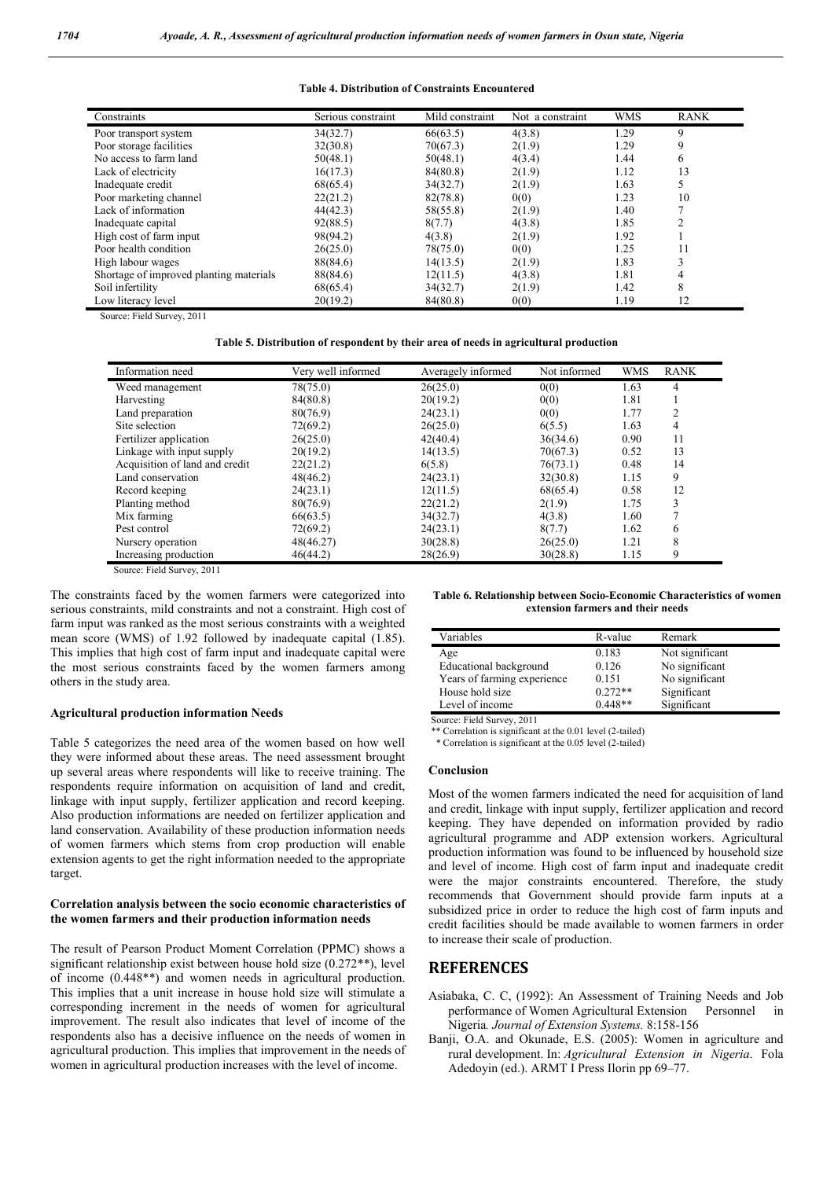## Table 4. Distribution of Constraints Encountered

| Constraints                             | Serious constraint | Mild constraint | Not a constraint | <b>WMS</b> | <b>RANK</b> |
|-----------------------------------------|--------------------|-----------------|------------------|------------|-------------|
| Poor transport system                   | 34(32.7)           | 66(63.5)        | 4(3.8)           | 1.29       | 9           |
| Poor storage facilities                 | 32(30.8)           | 70(67.3)        | 2(1.9)           | 1.29       | 9           |
| No access to farm land                  | 50(48.1)           | 50(48.1)        | 4(3.4)           | 1.44       | 6           |
| Lack of electricity                     | 16(17.3)           | 84(80.8)        | 2(1.9)           | 1.12       | 13          |
| Inadequate credit                       | 68(65.4)           | 34(32.7)        | 2(1.9)           | 1.63       |             |
| Poor marketing channel                  | 22(21.2)           | 82(78.8)        | 0(0)             | 1.23       | 10          |
| Lack of information                     | 44(42.3)           | 58(55.8)        | 2(1.9)           | 1.40       |             |
| Inadequate capital                      | 92(88.5)           | 8(7.7)          | 4(3.8)           | 1.85       |             |
| High cost of farm input                 | 98(94.2)           | 4(3.8)          | 2(1.9)           | 1.92       |             |
| Poor health condition                   | 26(25.0)           | 78(75.0)        | 0(0)             | 1.25       | 11          |
| High labour wages                       | 88(84.6)           | 14(13.5)        | 2(1.9)           | 1.83       |             |
| Shortage of improved planting materials | 88(84.6)           | 12(11.5)        | 4(3.8)           | 1.81       | 4           |
| Soil infertility                        | 68(65.4)           | 34(32.7)        | 2(1.9)           | 1.42       | 8           |
| Low literacy level                      | 20(19.2)           | 84(80.8)        | 0(0)             | 1.19       | 12          |

Source: Field Survey, 2011

Table 5. Distribution of respondent by their area of needs in agricultural production

| Information need               | Very well informed | Averagely informed | Not informed | <b>WMS</b> | <b>RANK</b> |
|--------------------------------|--------------------|--------------------|--------------|------------|-------------|
| Weed management                | 78(75.0)           | 26(25.0)           | 0(0)         | 1.63       | 4           |
| Harvesting                     | 84(80.8)           | 20(19.2)           | 0(0)         | 1.81       |             |
| Land preparation               | 80(76.9)           | 24(23.1)           | 0(0)         | 1.77       |             |
| Site selection                 | 72(69.2)           | 26(25.0)           | 6(5.5)       | 1.63       | 4           |
| Fertilizer application         | 26(25.0)           | 42(40.4)           | 36(34.6)     | 0.90       | 11          |
| Linkage with input supply      | 20(19.2)           | 14(13.5)           | 70(67.3)     | 0.52       | 13          |
| Acquisition of land and credit | 22(21.2)           | 6(5.8)             | 76(73.1)     | 0.48       | 14          |
| Land conservation              | 48(46.2)           | 24(23.1)           | 32(30.8)     | 1.15       | 9           |
| Record keeping                 | 24(23.1)           | 12(11.5)           | 68(65.4)     | 0.58       | 12          |
| Planting method                | 80(76.9)           | 22(21.2)           | 2(1.9)       | 1.75       | 3           |
| Mix farming                    | 66(63.5)           | 34(32.7)           | 4(3.8)       | 1.60       |             |
| Pest control                   | 72(69.2)           | 24(23.1)           | 8(7.7)       | 1.62       | 6           |
| Nursery operation              | 48(46.27)          | 30(28.8)           | 26(25.0)     | 1.21       | 8           |
| Increasing production          | 46(44.2)           | 28(26.9)           | 30(28.8)     | 1.15       | 9           |

Source: Field Survey, 2011

The constraints faced by the women farmers were categorized into serious constraints, mild constraints and not a constraint. High cost of farm input was ranked as the most serious constraints with a weighted mean score (WMS) of 1.92 followed by inadequate capital (1.85). This implies that high cost of farm input and inadequate capital were the most serious constraints faced by the women farmers among others in the study area.

## Agricultural production information Needs

Table 5 categorizes the need area of the women based on how well they were informed about these areas. The need assessment brought up several areas where respondents will like to receive training. The respondents require information on acquisition of land and credit, linkage with input supply, fertilizer application and record keeping. Also production informations are needed on fertilizer application and land conservation. Availability of these production information needs of women farmers which stems from crop production will enable extension agents to get the right information needed to the appropriate target.

## Correlation analysis between the socio economic characteristics of the women farmers and their production information needs

The result of Pearson Product Moment Correlation (PPMC) shows a significant relationship exist between house hold size (0.272\*\*), level of income (0.448\*\*) and women needs in agricultural production. This implies that a unit increase in house hold size will stimulate a corresponding increment in the needs of women for agricultural improvement. The result also indicates that level of income of the respondents also has a decisive influence on the needs of women in agricultural production. This implies that improvement in the needs of women in agricultural production increases with the level of income.

Table 6. Relationship between Socio-Economic Characteristics of women extension farmers and their needs

| Variables                   | R-value   | Remark          |
|-----------------------------|-----------|-----------------|
| Age                         | 0.183     | Not significant |
| Educational background      | 0.126     | No significant  |
| Years of farming experience | 0.151     | No significant  |
| House hold size             | $0.272**$ | Significant     |
| Level of income             | $0.448**$ | Significant     |

Source: Field Survey, 2011

\*\* Correlation is significant at the 0.01 level (2-tailed)

\* Correlation is significant at the 0.05 level (2-tailed)

### Conclusion

Most of the women farmers indicated the need for acquisition of land and credit, linkage with input supply, fertilizer application and record keeping. They have depended on information provided by radio agricultural programme and ADP extension workers. Agricultural production information was found to be influenced by household size and level of income. High cost of farm input and inadequate credit were the major constraints encountered. Therefore, the study recommends that Government should provide farm inputs at a subsidized price in order to reduce the high cost of farm inputs and credit facilities should be made available to women farmers in order to increase their scale of production.

## **REFERENCES**

- Asiabaka, C. C, (1992): An Assessment of Training Needs and Job performance of Women Agricultural Extension Personnel in Nigeria*. Journal of Extension Systems.* 8:158-156
- Banji, O.A. and Okunade, E.S. (2005): Women in agriculture and rural development. In: *Agricultural Extension in Nigeria*. Fola Adedoyin (ed.). ARMT I Press Ilorin pp 69–77.